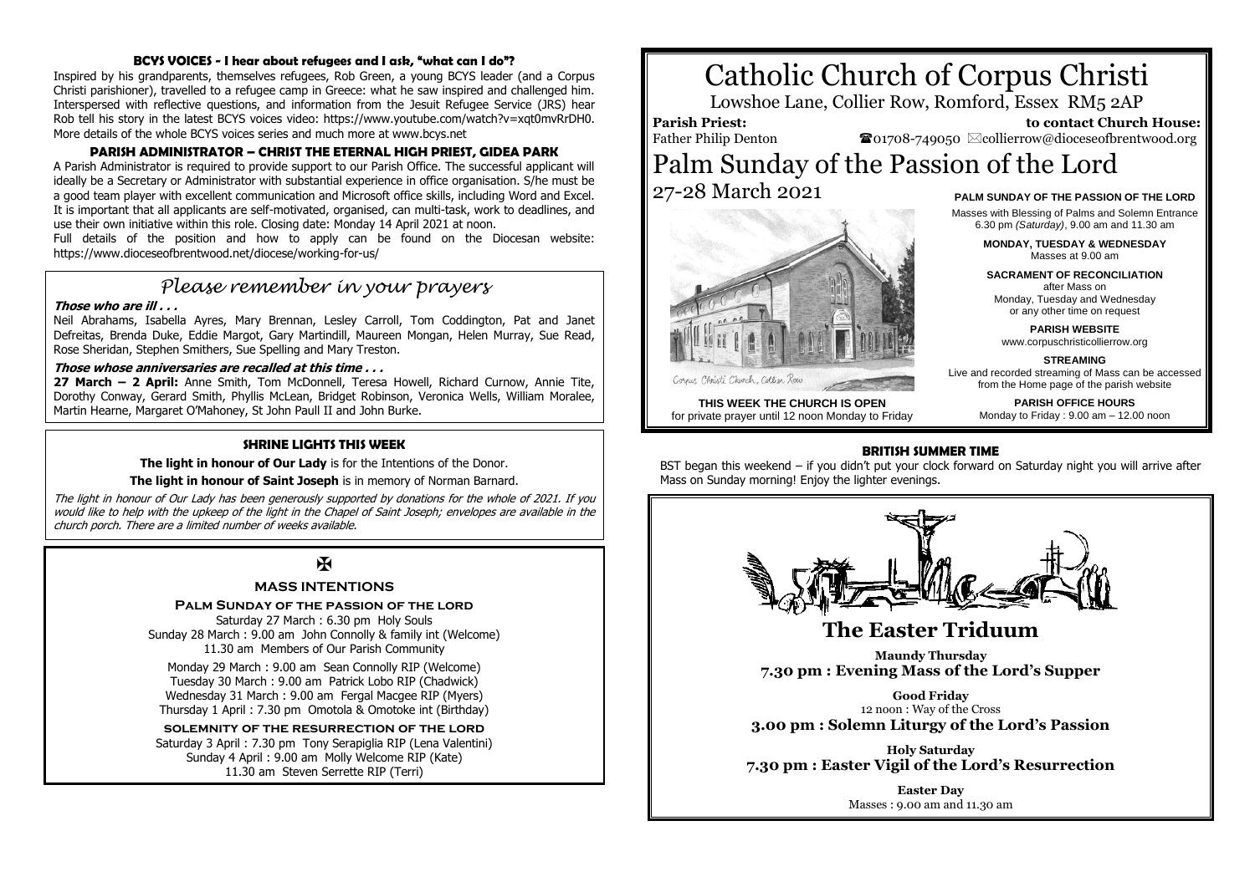# **BCYS VOICES - I hear about refugees and I ask, "what can I do"?**

Inspired by his grandparents, themselves refugees, Rob Green, a young BCYS leader (and a Corpus Christi parishioner), travelled to a refugee camp in Greece: what he saw inspired and challenged him. Interspersed with reflective questions, and information from the Jesuit Refugee Service (JRS) hear Rob tell his story in the latest BCYS voices video: https://www.youtube.com/watch?v=xqt0mvRrDH0. More details of the whole BCYS voices series and much more at www.bcys.net

# **PARISH ADMINISTRATOR – CHRIST THE ETERNAL HIGH PRIEST, GIDEA PARK**

A Parish Administrator is required to provide support to our Parish Office. The successful applicant will ideally be a Secretary or Administrator with substantial experience in office organisation. S/he must be a good team player with excellent communication and Microsoft office skills, including Word and Excel. It is important that all applicants are self-motivated, organised, can multi-task, work to deadlines, and use their own initiative within this role. Closing date: Monday 14 April 2021 at noon.

Full details of the position and how to apply can be found on the Diocesan website: https://www.dioceseofbrentwood.net/diocese/working-for-us/

# *Please remember in your prayers*

# **Those who are ill . . .**

Neil Abrahams, Isabella Ayres, Mary Brennan, Lesley Carroll, Tom Coddington, Pat and Janet Defreitas, Brenda Duke, Eddie Margot, Gary Martindill, Maureen Mongan, Helen Murray, Sue Read, Rose Sheridan, Stephen Smithers, Sue Spelling and Mary Treston.

#### **Those whose anniversaries are recalled at this time . . .**

**27 March – 2 April:** Anne Smith, Tom McDonnell, Teresa Howell, Richard Curnow, Annie Tite, Dorothy Conway, Gerard Smith, Phyllis McLean, Bridget Robinson, Veronica Wells, William Moralee, Martin Hearne, Margaret O'Mahoney, St John Paull II and John Burke.

# **SHRINE LIGHTS THIS WEEK**

**The light in honour of Our Lady** is for the Intentions of the Donor.

#### **The light in honour of Saint Joseph** is in memory of Norman Barnard.

The light in honour of Our Lady has been generously supported by donations for the whole of 2021. If you would like to help with the upkeep of the light in the Chapel of Saint Joseph; envelopes are available in the church porch. There are a limited number of weeks available.

# $\overline{\mathbf{X}}$

# **MASS INTENTIONS**

## **Palm Sunday of the passion of the lord**

Saturday 27 March : 6.30 pm Holy Souls Sunday 28 March : 9.00 am John Connolly & family int (Welcome) 11.30 am Members of Our Parish Community

Monday 29 March : 9.00 am Sean Connolly RIP (Welcome) Tuesday 30 March : 9.00 am Patrick Lobo RIP (Chadwick) Wednesday 31 March : 9.00 am Fergal Macgee RIP (Myers) Thursday 1 April : 7.30 pm Omotola & Omotoke int (Birthday)

#### **solemnity of the resurrection of the lord** Saturday 3 April : 7.30 pm Tony Serapiglia RIP (Lena Valentini) Sunday 4 April : 9.00 am Molly Welcome RIP (Kate) 11.30 am Steven Serrette RIP (Terri)

# Catholic Church of Corpus Christi

Lowshoe Lane, Collier Row, Romford, Essex RM5 2AP

**Parish Priest:** Father Philip Denton

 **to contact Church House: To**01708-749050  $\boxtimes$  collierrow@dioceseofbrentwood.org

Palm Sunday of the Passion of the Lord 27-28 March 2021



**THIS WEEK THE CHURCH IS OPEN** for private prayer until 12 noon Monday to Friday

#### **PALM SUNDAY OF THE PASSION OF THE LORD**

Masses with Blessing of Palms and Solemn Entrance 6.30 pm *(Saturday)*, 9.00 am and 11.30 am

> **MONDAY, TUESDAY & WEDNESDAY** Masses at 9.00 am

**SACRAMENT OF RECONCILIATION** after Mass on Monday, Tuesday and Wednesday or any other time on request

**PARISH WEBSITE** www.corpuschristicollierrow.org

#### **STREAMING**

Live and recorded streaming of Mass can be accessed from the Home page of the parish website

> **PARISH OFFICE HOURS** Monday to Friday : 9.00 am – 12.00 noon

# **BRITISH SUMMER TIME**

BST began this weekend – if you didn't put your clock forward on Saturday night you will arrive after Mass on Sunday morning! Enjoy the lighter evenings.



# **The Easter Triduum**

**Maundy Thursday 7.30 pm : Evening Mass of the Lord's Supper**

**Good Friday** 12 noon : Way of the Cross **3.00 pm : Solemn Liturgy of the Lord's Passion**

**Holy Saturday 7.30 pm : Easter Vigil of the Lord's Resurrection**

> **Easter Day** Masses : 9.00 am and 11.30 am